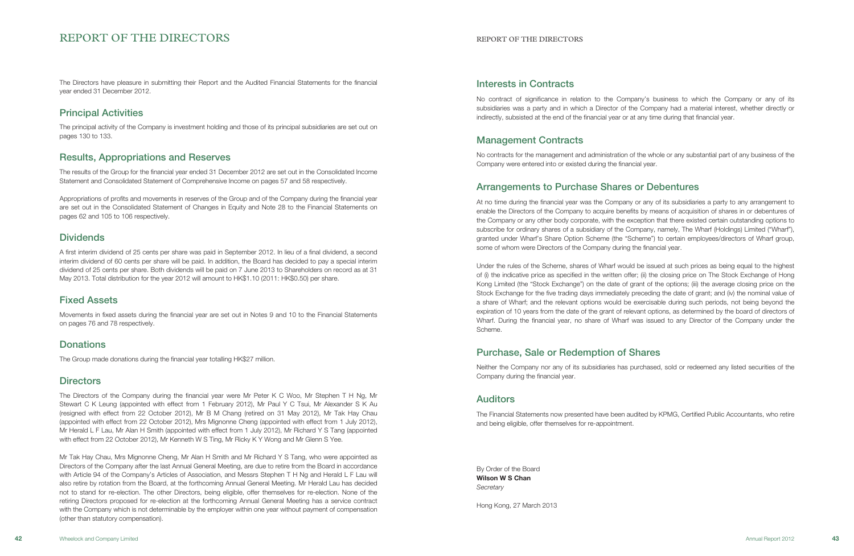# Interests in Contracts

No contract of significance in relation to the Company's business to which the Company or any of its subsidiaries was a party and in which a Director of the Company had a material interest, whether directly or indirectly, subsisted at the end of the financial year or at any time during that financial year.

# Management Contracts

No contracts for the management and administration of the whole or any substantial part of any business of the Company were entered into or existed during the financial year.

# Arrangements to Purchase Shares or Debentures

At no time during the financial year was the Company or any of its subsidiaries a party to any arrangement to enable the Directors of the Company to acquire benefits by means of acquisition of shares in or debentures of the Company or any other body corporate, with the exception that there existed certain outstanding options to subscribe for ordinary shares of a subsidiary of the Company, namely, The Wharf (Holdings) Limited ("Wharf"), granted under Wharf's Share Option Scheme (the "Scheme") to certain employees/directors of Wharf group, some of whom were Directors of the Company during the financial year.

By Order of the Board Wilson W S Chan **Secretary** 

Under the rules of the Scheme, shares of Wharf would be issued at such prices as being equal to the highest of (i) the indicative price as specified in the written offer; (ii) the closing price on The Stock Exchange of Hong Kong Limited (the "Stock Exchange") on the date of grant of the options; (iii) the average closing price on the Stock Exchange for the five trading days immediately preceding the date of grant; and (iv) the nominal value of a share of Wharf; and the relevant options would be exercisable during such periods, not being beyond the expiration of 10 years from the date of the grant of relevant options, as determined by the board of directors of Wharf. During the financial year, no share of Wharf was issued to any Director of the Company under the Scheme.

# Purchase, Sale or Redemption of Shares

Neither the Company nor any of its subsidiaries has purchased, sold or redeemed any listed securities of the Company during the financial year.

# Auditors

The Financial Statements now presented have been audited by KPMG, Certified Public Accountants, who retire and being eligible, offer themselves for re-appointment.

Hong Kong, 27 March 2013

# REPORT OF THE DIRECTORS REPORT OF THE DIRECTORS

The Directors have pleasure in submitting their Report and the Audited Financial Statements for the financial year ended 31 December 2012.

# Principal Activities

The principal activity of the Company is investment holding and those of its principal subsidiaries are set out on pages 130 to 133.

# Results, Appropriations and Reserves

The results of the Group for the financial year ended 31 December 2012 are set out in the Consolidated Income Statement and Consolidated Statement of Comprehensive Income on pages 57 and 58 respectively.

Appropriations of profits and movements in reserves of the Group and of the Company during the financial year are set out in the Consolidated Statement of Changes in Equity and Note 28 to the Financial Statements on pages 62 and 105 to 106 respectively.

# **Dividends**

A first interim dividend of 25 cents per share was paid in September 2012. In lieu of a final dividend, a second interim dividend of 60 cents per share will be paid. In addition, the Board has decided to pay a special interim dividend of 25 cents per share. Both dividends will be paid on 7 June 2013 to Shareholders on record as at 31 May 2013. Total distribution for the year 2012 will amount to HK\$1.10 (2011: HK\$0.50) per share.

# Fixed Assets

Movements in fixed assets during the financial year are set out in Notes 9 and 10 to the Financial Statements on pages 76 and 78 respectively.

# **Donations**

The Group made donations during the financial year totalling HK\$27 million.

# **Directors**

The Directors of the Company during the financial year were Mr Peter K C Woo, Mr Stephen T H Ng, Mr Stewart C K Leung (appointed with effect from 1 February 2012), Mr Paul Y C Tsui, Mr Alexander S K Au (resigned with effect from 22 October 2012), Mr B M Chang (retired on 31 May 2012), Mr Tak Hay Chau (appointed with effect from 22 October 2012), Mrs Mignonne Cheng (appointed with effect from 1 July 2012), Mr Herald L F Lau, Mr Alan H Smith (appointed with effect from 1 July 2012), Mr Richard Y S Tang (appointed with effect from 22 October 2012), Mr Kenneth W S Ting, Mr Ricky K Y Wong and Mr Glenn S Yee.

Mr Tak Hay Chau, Mrs Mignonne Cheng, Mr Alan H Smith and Mr Richard Y S Tang, who were appointed as Directors of the Company after the last Annual General Meeting, are due to retire from the Board in accordance with Article 94 of the Company's Articles of Association, and Messrs Stephen T H Ng and Herald L F Lau will also retire by rotation from the Board, at the forthcoming Annual General Meeting. Mr Herald Lau has decided not to stand for re-election. The other Directors, being eligible, offer themselves for re-election. None of the retiring Directors proposed for re-election at the forthcoming Annual General Meeting has a service contract with the Company which is not determinable by the employer within one year without payment of compensation (other than statutory compensation).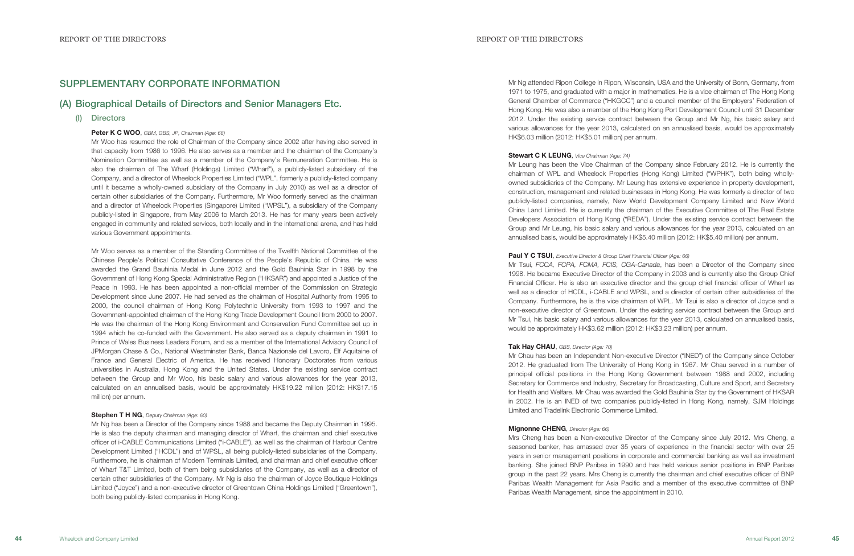Mr Ng attended Ripon College in Ripon, Wisconsin, USA and the University of Bonn, Germany, from 1971 to 1975, and graduated with a major in mathematics. He is a vice chairman of The Hong Kong General Chamber of Commerce ("HKGCC") and a council member of the Employers' Federation of Hong Kong. He was also a member of the Hong Kong Port Development Council until 31 December 2012. Under the existing service contract between the Group and Mr Ng, his basic salary and various allowances for the year 2013, calculated on an annualised basis, would be approximately HK\$6.03 million (2012: HK\$5.01 million) per annum.

Stewart C K LEUNG, Vice Chairman (Age: 74) Mr Leung has been the Vice Chairman of the Company since February 2012. He is currently the chairman of WPL and Wheelock Properties (Hong Kong) Limited ("WPHK"), both being whollyowned subsidiaries of the Company. Mr Leung has extensive experience in property development, construction, management and related businesses in Hong Kong. He was formerly a director of two publicly-listed companies, namely, New World Development Company Limited and New World China Land Limited. He is currently the chairman of the Executive Committee of The Real Estate Developers Association of Hong Kong ("REDA"). Under the existing service contract between the Group and Mr Leung, his basic salary and various allowances for the year 2013, calculated on an annualised basis, would be approximately HK\$5.40 million (2012: HK\$5.40 million) per annum.

Paul Y C TSUI, Executive Director & Group Chief Financial Officer (Age: 66) Mr Tsui, FCCA, FCPA, FCMA, FCIS, CGA-Canada, has been a Director of the Company since 1998. He became Executive Director of the Company in 2003 and is currently also the Group Chief Financial Officer. He is also an executive director and the group chief financial officer of Wharf as well as a director of HCDL, i-CABLE and WPSL, and a director of certain other subsidiaries of the Company. Furthermore, he is the vice chairman of WPL. Mr Tsui is also a director of Joyce and a non-executive director of Greentown. Under the existing service contract between the Group and Mr Tsui, his basic salary and various allowances for the year 2013, calculated on annualised basis, would be approximately HK\$3.62 million (2012: HK\$3.23 million) per annum.

Tak Hay CHAU, GBS, Director (Age: 70) Mr Chau has been an Independent Non-executive Director ("INED") of the Company since October 2012. He graduated from The University of Hong Kong in 1967. Mr Chau served in a number of principal official positions in the Hong Kong Government between 1988 and 2002, including Secretary for Commerce and Industry, Secretary for Broadcasting, Culture and Sport, and Secretary for Health and Welfare. Mr Chau was awarded the Gold Bauhinia Star by the Government of HKSAR in 2002. He is an INED of two companies publicly-listed in Hong Kong, namely, SJM Holdings Limited and Tradelink Electronic Commerce Limited.

Mignonne CHENG, Director (Age: 66) Mrs Cheng has been a Non-executive Director of the Company since July 2012. Mrs Cheng, a seasoned banker, has amassed over 35 years of experience in the financial sector with over 25 years in senior management positions in corporate and commercial banking as well as investment banking. She joined BNP Paribas in 1990 and has held various senior positions in BNP Paribas group in the past 22 years. Mrs Cheng is currently the chairman and chief executive officer of BNP Paribas Wealth Management for Asia Pacific and a member of the executive committee of BNP Paribas Wealth Management, since the appointment in 2010.

# SUPPLEMENTARY CORPORATE INFORMATION

## (A) Biographical Details of Directors and Senior Managers Etc.

(I) Directors

### Peter K C WOO, GBM, GBS, JP, Chairman (Age: 66)

Mr Woo has resumed the role of Chairman of the Company since 2002 after having also served in that capacity from 1986 to 1996. He also serves as a member and the chairman of the Company's Nomination Committee as well as a member of the Company's Remuneration Committee. He is also the chairman of The Wharf (Holdings) Limited ("Wharf"), a publicly-listed subsidiary of the Company, and a director of Wheelock Properties Limited ("WPL", formerly a publicly-listed company until it became a wholly-owned subsidiary of the Company in July 2010) as well as a director of certain other subsidiaries of the Company. Furthermore, Mr Woo formerly served as the chairman and a director of Wheelock Properties (Singapore) Limited ("WPSL"), a subsidiary of the Company publicly-listed in Singapore, from May 2006 to March 2013. He has for many years been actively engaged in community and related services, both locally and in the international arena, and has held various Government appointments.

Mr Woo serves as a member of the Standing Committee of the Twelfth National Committee of the Chinese People's Political Consultative Conference of the People's Republic of China. He was awarded the Grand Bauhinia Medal in June 2012 and the Gold Bauhinia Star in 1998 by the Government of Hong Kong Special Administrative Region ("HKSAR") and appointed a Justice of the Peace in 1993. He has been appointed a non-official member of the Commission on Strategic Development since June 2007. He had served as the chairman of Hospital Authority from 1995 to 2000, the council chairman of Hong Kong Polytechnic University from 1993 to 1997 and the Government-appointed chairman of the Hong Kong Trade Development Council from 2000 to 2007. He was the chairman of the Hong Kong Environment and Conservation Fund Committee set up in 1994 which he co-funded with the Government. He also served as a deputy chairman in 1991 to Prince of Wales Business Leaders Forum, and as a member of the International Advisory Council of JPMorgan Chase & Co., National Westminster Bank, Banca Nazionale del Lavoro, Elf Aquitaine of France and General Electric of America. He has received Honorary Doctorates from various universities in Australia, Hong Kong and the United States. Under the existing service contract between the Group and Mr Woo, his basic salary and various allowances for the year 2013, calculated on an annualised basis, would be approximately HK\$19.22 million (2012: HK\$17.15 million) per annum.

### Stephen T H NG, Deputy Chairman (Age: 60)

Mr Ng has been a Director of the Company since 1988 and became the Deputy Chairman in 1995. He is also the deputy chairman and managing director of Wharf, the chairman and chief executive officer of i-CABLE Communications Limited ("i-CABLE"), as well as the chairman of Harbour Centre Development Limited ("HCDL") and of WPSL, all being publicly-listed subsidiaries of the Company. Furthermore, he is chairman of Modern Terminals Limited, and chairman and chief executive officer of Wharf T&T Limited, both of them being subsidiaries of the Company, as well as a director of certain other subsidiaries of the Company. Mr Ng is also the chairman of Joyce Boutique Holdings Limited ("Joyce") and a non-executive director of Greentown China Holdings Limited ("Greentown"), both being publicly-listed companies in Hong Kong.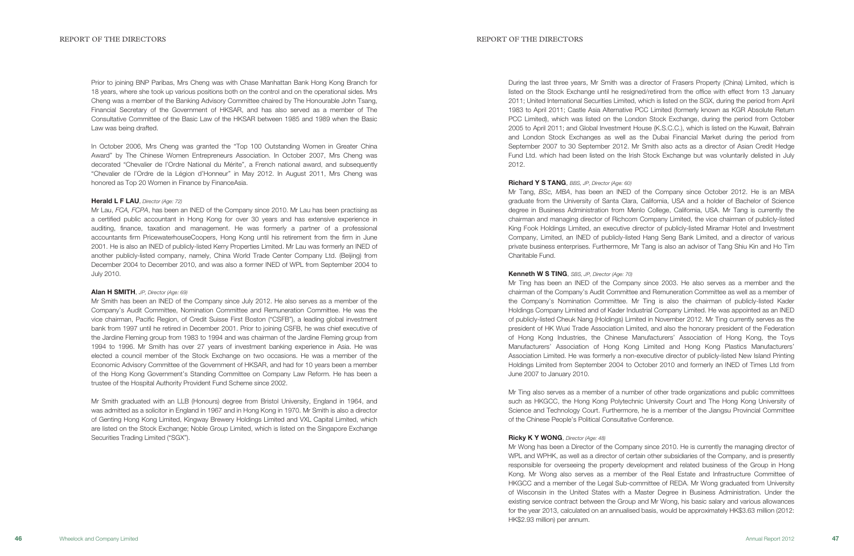During the last three years, Mr Smith was a director of Frasers Property (China) Limited, which is listed on the Stock Exchange until he resigned/retired from the office with effect from 13 January 2011; United International Securities Limited, which is listed on the SGX, during the period from April 1983 to April 2011; Castle Asia Alternative PCC Limited (formerly known as KGR Absolute Return PCC Limited), which was listed on the London Stock Exchange, during the period from October 2005 to April 2011; and Global Investment House (K.S.C.C.), which is listed on the Kuwait, Bahrain and London Stock Exchanges as well as the Dubai Financial Market during the period from September 2007 to 30 September 2012. Mr Smith also acts as a director of Asian Credit Hedge Fund Ltd. which had been listed on the Irish Stock Exchange but was voluntarily delisted in July 2012.

Richard Y S TANG, BBS, JP, Director (Age: 60) Mr Tang, BSc, MBA, has been an INED of the Company since October 2012. He is an MBA graduate from the University of Santa Clara, California, USA and a holder of Bachelor of Science degree in Business Administration from Menlo College, California, USA. Mr Tang is currently the chairman and managing director of Richcom Company Limited, the vice chairman of publicly-listed King Fook Holdings Limited, an executive director of publicly-listed Miramar Hotel and Investment Company, Limited, an INED of publicly-listed Hang Seng Bank Limited, and a director of various private business enterprises. Furthermore, Mr Tang is also an advisor of Tang Shiu Kin and Ho Tim Charitable Fund.

Kenneth W S TING, SBS, JP, Director (Age: 70) Mr Ting has been an INED of the Company since 2003. He also serves as a member and the chairman of the Company's Audit Committee and Remuneration Committee as well as a member of the Company's Nomination Committee. Mr Ting is also the chairman of publicly-listed Kader Holdings Company Limited and of Kader Industrial Company Limited. He was appointed as an INED of publicly-listed Cheuk Nang (Holdings) Limited in November 2012. Mr Ting currently serves as the president of HK Wuxi Trade Association Limited, and also the honorary president of the Federation of Hong Kong Industries, the Chinese Manufacturers' Association of Hong Kong, the Toys Manufacturers' Association of Hong Kong Limited and Hong Kong Plastics Manufacturers' Association Limited. He was formerly a non-executive director of publicly-listed New Island Printing Holdings Limited from September 2004 to October 2010 and formerly an INED of Times Ltd from June 2007 to January 2010.

Mr Ting also serves as a member of a number of other trade organizations and public committees such as HKGCC, the Hong Kong Polytechnic University Court and The Hong Kong University of Science and Technology Court. Furthermore, he is a member of the Jiangsu Provincial Committee of the Chinese People's Political Consultative Conference.

### Ricky K Y WONG, Director (Age: 48)

Mr Wong has been a Director of the Company since 2010. He is currently the managing director of WPL and WPHK, as well as a director of certain other subsidiaries of the Company, and is presently responsible for overseeing the property development and related business of the Group in Hong Kong. Mr Wong also serves as a member of the Real Estate and Infrastructure Committee of HKGCC and a member of the Legal Sub-committee of REDA. Mr Wong graduated from University of Wisconsin in the United States with a Master Degree in Business Administration. Under the existing service contract between the Group and Mr Wong, his basic salary and various allowances for the year 2013, calculated on an annualised basis, would be approximately HK\$3.63 million (2012: HK\$2.93 million) per annum.

Prior to joining BNP Paribas, Mrs Cheng was with Chase Manhattan Bank Hong Kong Branch for 18 years, where she took up various positions both on the control and on the operational sides. Mrs Cheng was a member of the Banking Advisory Committee chaired by The Honourable John Tsang, Financial Secretary of the Government of HKSAR, and has also served as a member of The Consultative Committee of the Basic Law of the HKSAR between 1985 and 1989 when the Basic Law was being drafted.

In October 2006, Mrs Cheng was granted the "Top 100 Outstanding Women in Greater China Award" by The Chinese Women Entrepreneurs Association. In October 2007, Mrs Cheng was decorated "Chevalier de l'Ordre National du Mérite", a French national award, and subsequently "Chevalier de l'Ordre de la Légion d'Honneur" in May 2012. In August 2011, Mrs Cheng was honored as Top 20 Women in Finance by FinanceAsia.

## Herald L F LAU, Director (Age: 72)

Mr Lau, FCA, FCPA, has been an INED of the Company since 2010. Mr Lau has been practising as a certified public accountant in Hong Kong for over 30 years and has extensive experience in auditing, finance, taxation and management. He was formerly a partner of a professional accountants firm PricewaterhouseCoopers, Hong Kong until his retirement from the firm in June 2001. He is also an INED of publicly-listed Kerry Properties Limited. Mr Lau was formerly an INED of another publicly-listed company, namely, China World Trade Center Company Ltd. (Beijing) from December 2004 to December 2010, and was also a former INED of WPL from September 2004 to July 2010.

### Alan H SMITH, JP, Director (Age: 69)

Mr Smith has been an INED of the Company since July 2012. He also serves as a member of the Company's Audit Committee, Nomination Committee and Remuneration Committee. He was the vice chairman, Pacific Region, of Credit Suisse First Boston ("CSFB"), a leading global investment bank from 1997 until he retired in December 2001. Prior to joining CSFB, he was chief executive of the Jardine Fleming group from 1983 to 1994 and was chairman of the Jardine Fleming group from 1994 to 1996. Mr Smith has over 27 years of investment banking experience in Asia. He was elected a council member of the Stock Exchange on two occasions. He was a member of the Economic Advisory Committee of the Government of HKSAR, and had for 10 years been a member of the Hong Kong Government's Standing Committee on Company Law Reform. He has been a trustee of the Hospital Authority Provident Fund Scheme since 2002.

Mr Smith graduated with an LLB (Honours) degree from Bristol University, England in 1964, and was admitted as a solicitor in England in 1967 and in Hong Kong in 1970. Mr Smith is also a director of Genting Hong Kong Limited, Kingway Brewery Holdings Limited and VXL Capital Limited, which are listed on the Stock Exchange; Noble Group Limited, which is listed on the Singapore Exchange Securities Trading Limited ("SGX").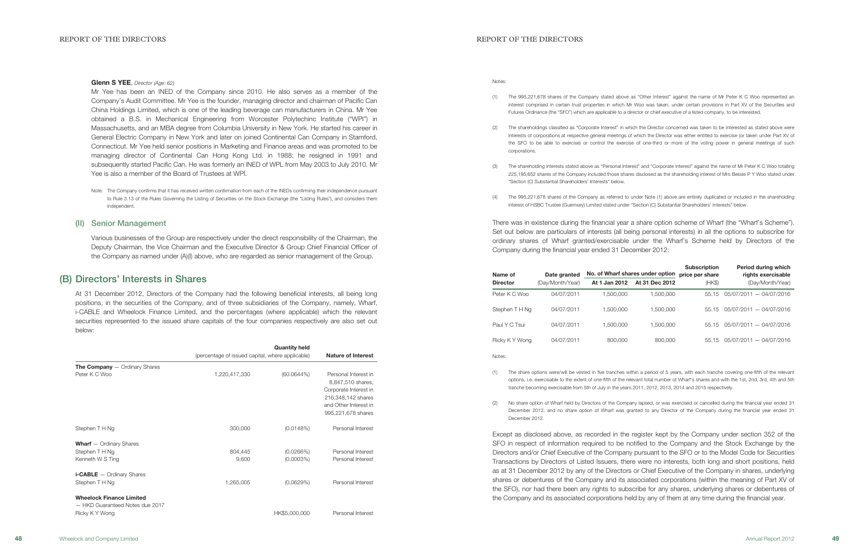### Glenn S YEE, Director (Age: 62)

Notes:

(2) The shareholdings classified as "Corporate Interest" in which the Director concerned was taken to be interested as stated above were interests of corporations at respective general meetings of which the Director was either entitled to exercise (or taken under Part XV of the SFO to be able to exercise) or control the exercise of one-third or more of the voting power in general meetings of such

(1) The 995,221,678 shares of the Company stated above as "Other Interest" against the name of Mr Peter K C Woo represented an interest comprised in certain trust properties in which Mr Woo was taken, under certain provisions in Part XV of the Securities and Futures Ordinance (the "SFO") which are applicable to a director or chief executive of a listed company, to be interested.

(3) The shareholding interests stated above as "Personal Interest" and "Corporate Interest" against the name of Mr Peter K C Woo totalling 225,195,652 shares of the Company included those shares disclosed as the shareholding interest of Mrs Bessie P Y Woo stated under

- 
- corporations.
- "Section (C) Substantial Shareholders' Interests" below.
- interest of HSBC Trustee (Guernsey) Limited stated under "Section (C) Substantial Shareholders' Interests" below.

(4) The 995,221,678 shares of the Company as referred to under Note (1) above are entirely duplicated or included in the shareholding

There was in existence during the financial year a share option scheme of Wharf (the "Wharf's Scheme"). Set out below are particulars of interests (all being personal interests) in all the options to subscribe for ordinary shares of Wharf granted/exercisable under the Wharf's Scheme held by Directors of the Company during the financial year ended 31 December 2012:

| Name of         | Date granted     | No. of Wharf shares under option |                | <b>Subscription</b><br>price per share | Period during which<br>rights exercisable |
|-----------------|------------------|----------------------------------|----------------|----------------------------------------|-------------------------------------------|
| <b>Director</b> | (Day/Month/Year) | At 1 Jan 2012                    | At 31 Dec 2012 | (HKS)                                  | (Day/Month/Year)                          |
| Peter K C Woo   | 04/07/2011       | 1.500.000                        | 1,500,000      | 55.15                                  | $05/07/2011 - 04/07/2016$                 |
| Stephen T H Ng  | 04/07/2011       | 1.500.000                        | 1,500,000      | 55.15                                  | 05/07/2011 - 04/07/2016                   |
| Paul Y C Tsui   | 04/07/2011       | 1.500.000                        | 1.500.000      | 55.15                                  | 05/07/2011 - 04/07/2016                   |
| Ricky K Y Wong  | 04/07/2011       | 800,000                          | 800,000        | 55.15                                  | $05/07/2011 - 04/07/2016$                 |

Notes:

(1) The share options were/will be vested in five tranches within a period of 5 years, with each tranche covering one-fifth of the relevant options, i.e. exercisable to the extent of one-fifth of the relevant total number of Wharf's shares and with the 1st, 2nd, 3rd, 4th and 5th

- tranche becoming exercisable from 5th of July in the years 2011, 2012, 2013, 2014 and 2015 respectively.
- December 2012.

(2) No share option of Wharf held by Directors of the Company lapsed, or was exercised or cancelled during the financial year ended 31 December 2012, and no share option of Wharf was granted to any Director of the Company during the financial year ended 31

Except as disclosed above, as recorded in the register kept by the Company under section 352 of the SFO in respect of information required to be notified to the Company and the Stock Exchange by the Directors and/or Chief Executive of the Company pursuant to the SFO or to the Model Code for Securities Transactions by Directors of Listed Issuers, there were no interests, both long and short positions, held as at 31 December 2012 by any of the Directors or Chief Executive of the Company in shares, underlying shares or debentures of the Company and its associated corporations (within the meaning of Part XV of the SFO), nor had there been any rights to subscribe for any shares, underlying shares or debentures of the Company and its associated corporations held by any of them at any time during the financial year.

Mr Yee has been an INED of the Company since 2010. He also serves as a member of the Company's Audit Committee. Mr Yee is the founder, managing director and chairman of Pacific Can China Holdings Limited, which is one of the leading beverage can manufacturers in China. Mr Yee obtained a B.S. in Mechanical Engineering from Worcester Polytechinc Institute ("WPI") in Massachusetts, and an MBA degree from Columbia University in New York. He started his career in General Electric Company in New York and later on joined Continental Can Company in Stamford, Connecticut. Mr Yee held senior positions in Marketing and Finance areas and was promoted to be managing director of Continental Can Hong Kong Ltd. in 1988; he resigned in 1991 and subsequently started Pacific Can. He was formerly an INED of WPL from May 2003 to July 2010. Mr Yee is also a member of the Board of Trustees at WPI.

Note: The Company confirms that it has received written confirmation from each of the INEDs confirming their independence pursuant to Rule 3.13 of the Rules Governing the Listing of Securities on the Stock Exchange (the "Listing Rules"), and considers them independent.

## (II) Senior Management

Various businesses of the Group are respectively under the direct responsibility of the Chairman, the Deputy Chairman, the Vice Chairman and the Executive Director & Group Chief Financial Officer of the Company as named under (A)(I) above, who are regarded as senior management of the Group.

## (B) Directors' Interests in Shares

At 31 December 2012, Directors of the Company had the following beneficial interests, all being long positions, in the securities of the Company, and of three subsidiaries of the Company, namely, Wharf, i-CABLE and Wheelock Finance Limited, and the percentages (where applicable) which the relevant securities represented to the issued share capitals of the four companies respectively are also set out below:

|                                                                    |                                                  | <b>Quantity held</b> |                                                                                                                                         |
|--------------------------------------------------------------------|--------------------------------------------------|----------------------|-----------------------------------------------------------------------------------------------------------------------------------------|
|                                                                    | (percentage of issued capital, where applicable) |                      | <b>Nature of Interest</b>                                                                                                               |
| <b>The Company</b> $-$ Ordinary Shares                             |                                                  |                      |                                                                                                                                         |
| Peter K C Woo                                                      | 1,220,417,330                                    | (60.0644%)           | Personal Interest in<br>8,847,510 shares,<br>Corporate Interest in<br>216,348,142 shares<br>and Other Interest in<br>995,221,678 shares |
| Stephen T H Ng                                                     | 300,000                                          | (0.0148%)            | Personal Interest                                                                                                                       |
| <b>Wharf</b> $-$ Ordinary Shares                                   |                                                  |                      |                                                                                                                                         |
| Stephen T H Ng                                                     | 804,445                                          | (0.0266%)            | Personal Interest                                                                                                                       |
| Kenneth W S Ting                                                   | 9,600                                            | $(0.0003\%)$         | Personal Interest                                                                                                                       |
| $i$ -CABLE $-$ Ordinary Shares                                     |                                                  |                      |                                                                                                                                         |
| Stephen T H Ng                                                     | 1,265,005                                        | (0.0629%)            | Personal Interest                                                                                                                       |
| <b>Wheelock Finance Limited</b><br>- HKD Guaranteed Notes due 2017 |                                                  |                      |                                                                                                                                         |
| Ricky KY Wong                                                      |                                                  | HK\$5,000,000        | Personal Interest                                                                                                                       |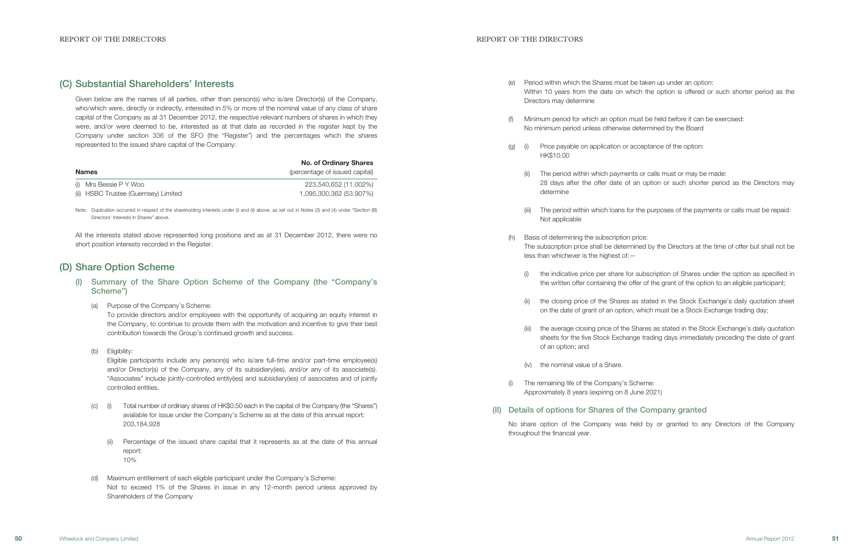### REPORT OF THE DIRECTORS AND REPORT OF THE DIRECTORS AND REPORT OF THE DIRECTORS

Within 10 years from the date on which the option is offered or such shorter period as the

28 days after the offer date of an option or such shorter period as the Directors may

(iii) The period within which loans for the purposes of the payments or calls must be repaid:

The subscription price shall be determined by the Directors at the time of offer but shall not be

- (e) Period within which the Shares must be taken up under an option: Directors may determine
- (f) Minimum period for which an option must be held before it can be exercised: No minimum period unless otherwise determined by the Board
- (g) (i) Price payable on application or acceptance of the option: HK\$10.00
	- (ii) The period within which payments or calls must or may be made: determine
	- Not applicable
- (h) Basis of determining the subscription price: less than whichever is the highest of:—
	-
	-
	- of an option; and
	- (iv) the nominal value of a Share.
- (i) The remaining life of the Company's Scheme: Approximately 8 years (expiring on 8 June 2021)
- (II) Details of options for Shares of the Company granted

(i) the indicative price per share for subscription of Shares under the option as specified in the written offer containing the offer of the grant of the option to an eligible participant;

(ii) the closing price of the Shares as stated in the Stock Exchange's daily quotation sheet on the date of grant of an option, which must be a Stock Exchange trading day;

Note: Duplication occurred in respect of the shareholding interests under (i) and (ii) above, as set out in Notes (3) and (4) under "Section (B) Directors' Interests in Shares" above.

> (iii) the average closing price of the Shares as stated in the Stock Exchange's daily quotation sheets for the five Stock Exchange trading days immediately preceding the date of grant

No share option of the Company was held by or granted to any Directors of the Company

throughout the financial year.

# (C) Substantial Shareholders' Interests

Given below are the names of all parties, other than person(s) who is/are Director(s) of the Company, who/which were, directly or indirectly, interested in 5% or more of the nominal value of any class of share capital of the Company as at 31 December 2012, the respective relevant numbers of shares in which they were, and/or were deemed to be, interested as at that date as recorded in the register kept by the Company under section 336 of the SFO (the "Register") and the percentages which the shares represented to the issued share capital of the Company:

|                                      | <b>No. of Ordinary Shares</b>  |  |  |
|--------------------------------------|--------------------------------|--|--|
| <b>Names</b>                         | (percentage of issued capital) |  |  |
| (i) Mrs Bessie P Y Woo               | 223,540,652 (11.002%)          |  |  |
| (ii) HSBC Trustee (Guernsey) Limited | 1,095,300,362 (53.907%)        |  |  |

All the interests stated above represented long positions and as at 31 December 2012, there were no short position interests recorded in the Register.

# (D) Share Option Scheme

- (I) Summary of the Share Option Scheme of the Company (the "Company's Scheme")
	- (a) Purpose of the Company's Scheme:

To provide directors and/or employees with the opportunity of acquiring an equity interest in the Company, to continue to provide them with the motivation and incentive to give their best contribution towards the Group's continued growth and success.

(b) Eligibility:

Eligible participants include any person(s) who is/are full-time and/or part-time employee(s) and/or Director(s) of the Company, any of its subsidiary(ies), and/or any of its associate(s) "Associates" include jointly-controlled entity(ies) and subsidiary(ies) of associates and of jointly controlled entities.

- (c) (i) Total number of ordinary shares of HK\$0.50 each in the capital of the Company (the "Shares") available for issue under the Company's Scheme as at the date of this annual report: 203,184,928
	- (ii) Percentage of the issued share capital that it represents as at the date of this annual report: 10%
- (d) Maximum entitlement of each eligible participant under the Company's Scheme: Not to exceed 1% of the Shares in issue in any 12-month period unless approved by Shareholders of the Company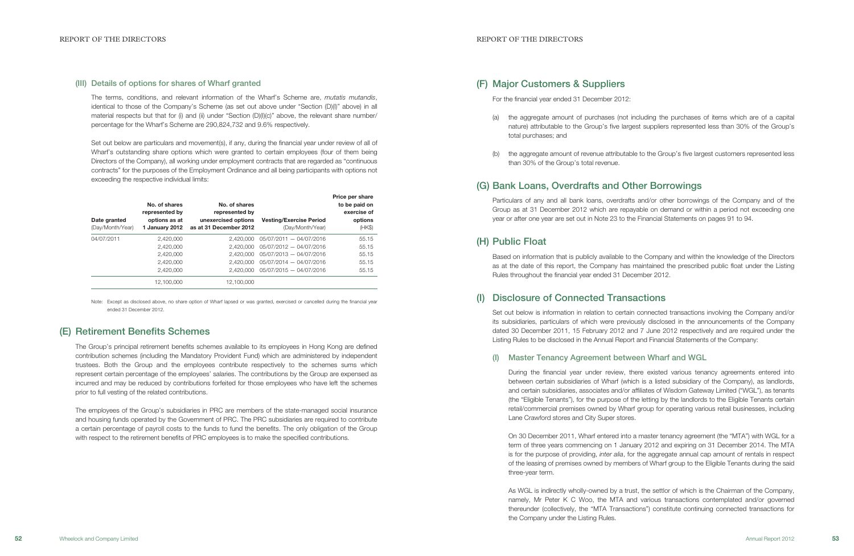## (F) Major Customers & Suppliers

For the financial year ended 31 December 2012:

(a) the aggregate amount of purchases (not including the purchases of items which are of a capital nature) attributable to the Group's five largest suppliers represented less than 30% of the Group's

(b) the aggregate amount of revenue attributable to the Group's five largest customers represented less

- total purchases; and
- than 30% of the Group's total revenue.

# (G) Bank Loans, Overdrafts and Other Borrowings

Particulars of any and all bank loans, overdrafts and/or other borrowings of the Company and of the Group as at 31 December 2012 which are repayable on demand or within a period not exceeding one year or after one year are set out in Note 23 to the Financial Statements on pages 91 to 94.

## (H) Public Float

Based on information that is publicly available to the Company and within the knowledge of the Directors as at the date of this report, the Company has maintained the prescribed public float under the Listing Rules throughout the financial year ended 31 December 2012.

# **Disclosure of Connected Transactions**

Set out below is information in relation to certain connected transactions involving the Company and/or its subsidiaries, particulars of which were previously disclosed in the announcements of the Company dated 30 December 2011, 15 February 2012 and 7 June 2012 respectively and are required under the Listing Rules to be disclosed in the Annual Report and Financial Statements of the Company:

## (I) Master Tenancy Agreement between Wharf and WGL

The terms, conditions, and relevant information of the Wharf's Scheme are, mutatis mutandis identical to those of the Company's Scheme (as set out above under "Section (D)(I)" above) in all material respects but that for (i) and (ii) under "Section (D)(I)(c)" above, the relevant share number/ percentage for the Wharf's Scheme are 290,824,732 and 9.6% respectively.

Set out below are particulars and movement(s), if any, during the financial year under review of all of Wharf's outstanding share options which were granted to certain employees (four of them being Directors of the Company), all working under employment contracts that are regarded as "continuous contracts" for the purposes of the Employment Ordinance and all being participants with options not exceeding the respective individual limits:

> During the financial year under review, there existed various tenancy agreements entered into between certain subsidiaries of Wharf (which is a listed subsidiary of the Company), as landlords, and certain subsidiaries, associates and/or affiliates of Wisdom Gateway Limited ("WGL"), as tenants (the "Eligible Tenants"), for the purpose of the letting by the landlords to the Eligible Tenants certain retail/commercial premises owned by Wharf group for operating various retail businesses, including Lane Crawford stores and City Super stores.

> On 30 December 2011, Wharf entered into a master tenancy agreement (the "MTA") with WGL for a term of three years commencing on 1 January 2012 and expiring on 31 December 2014. The MTA is for the purpose of providing, inter alia, for the aggregate annual cap amount of rentals in respect of the leasing of premises owned by members of Wharf group to the Eligible Tenants during the said three-year term.

> As WGL is indirectly wholly-owned by a trust, the settlor of which is the Chairman of the Company, namely, Mr Peter K C Woo, the MTA and various transactions contemplated and/or governed thereunder (collectively, the "MTA Transactions") constitute continuing connected transactions for the Company under the Listing Rules.

## (III) Details of options for shares of Wharf granted

| Date granted<br>(Day/Month/Year) | No. of shares<br>represented by<br>options as at<br>1 January 2012 | No. of shares<br>represented by<br>unexercised options<br>as at 31 December 2012 | <b>Vesting/Exercise Period</b><br>(Day/Month/Year) | Price per share<br>to be paid on<br>exercise of<br>options<br>$(HK\$ |
|----------------------------------|--------------------------------------------------------------------|----------------------------------------------------------------------------------|----------------------------------------------------|----------------------------------------------------------------------|
| 04/07/2011                       | 2,420,000                                                          | 2.420.000                                                                        | 05/07/2011 - 04/07/2016                            | 55.15                                                                |
|                                  | 2,420,000                                                          | 2.420,000                                                                        | 05/07/2012 - 04/07/2016                            | 55.15                                                                |
|                                  | 2,420,000                                                          | 2.420,000                                                                        | 05/07/2013 - 04/07/2016                            | 55.15                                                                |
|                                  | 2,420,000                                                          | 2.420,000                                                                        | 05/07/2014 - 04/07/2016                            | 55.15                                                                |
|                                  | 2.420.000                                                          | 2.420.000                                                                        | 05/07/2015 - 04/07/2016                            | 55.15                                                                |
|                                  | 12.100.000                                                         | 12.100.000                                                                       |                                                    |                                                                      |

Note: Except as disclosed above, no share option of Wharf lapsed or was granted, exercised or cancelled during the financial year ended 31 December 2012.

# (E) Retirement Benefits Schemes

The Group's principal retirement benefits schemes available to its employees in Hong Kong are defined contribution schemes (including the Mandatory Provident Fund) which are administered by independent trustees. Both the Group and the employees contribute respectively to the schemes sums which represent certain percentage of the employees' salaries. The contributions by the Group are expensed as incurred and may be reduced by contributions forfeited for those employees who have left the schemes prior to full vesting of the related contributions.

The employees of the Group's subsidiaries in PRC are members of the state-managed social insurance and housing funds operated by the Government of PRC. The PRC subsidiaries are required to contribute a certain percentage of payroll costs to the funds to fund the benefits. The only obligation of the Group with respect to the retirement benefits of PRC employees is to make the specified contributions.